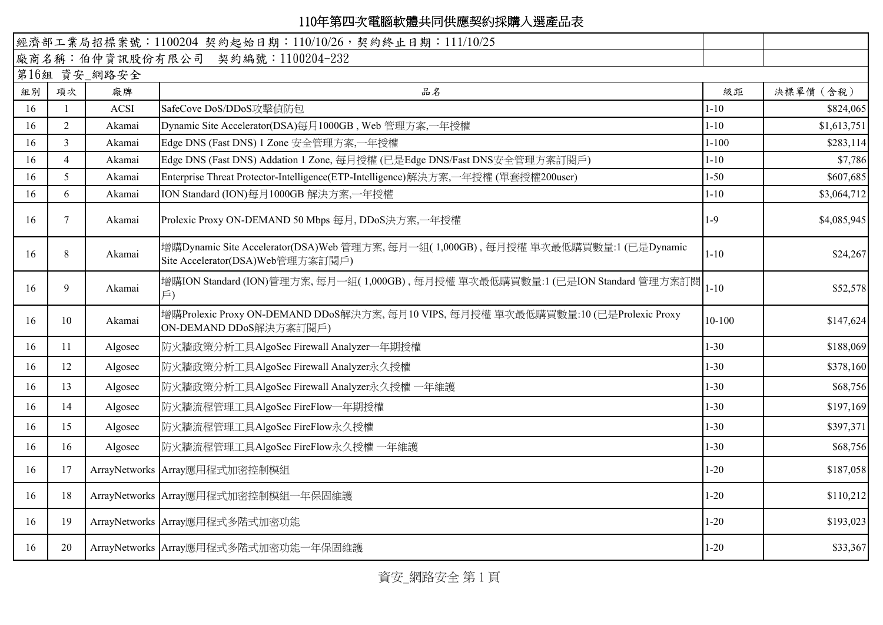|    |                       |              | 經濟部工業局招標案號: 1100204 契約起始日期: 110/10/26, 契約終止日期: 111/10/25                                                               |            |             |
|----|-----------------------|--------------|------------------------------------------------------------------------------------------------------------------------|------------|-------------|
|    |                       |              | 廠商名稱:伯仲資訊股份有限公司 契約編號:1100204-232                                                                                       |            |             |
|    |                       | 第16組 資安_網路安全 |                                                                                                                        |            |             |
| 組別 | 項次                    | 廠牌           | 品名                                                                                                                     | 級距         | 決標單價 (含稅)   |
| 16 |                       | <b>ACSI</b>  | SafeCove DoS/DDoS攻擊偵防包                                                                                                 | $1 - 10$   | \$824,065   |
| 16 | 2                     | Akamai       | Dynamic Site Accelerator(DSA)每月1000GB, Web 管理方案,一年授權                                                                   | $1 - 10$   | \$1,613,751 |
| 16 | 3                     | Akamai       | Edge DNS (Fast DNS) 1 Zone 安全管理方案,一年授權                                                                                 | $1 - 100$  | \$283,114   |
| 16 | $\boldsymbol{\Delta}$ | Akamai       | Edge DNS (Fast DNS) Addation 1 Zone, 每月授權 (已是Edge DNS/Fast DNS安全管理方案訂閱戶)                                               | $1 - 10$   | \$7,786     |
| 16 | $\overline{5}$        | Akamai       | Enterprise Threat Protector-Intelligence(ETP-Intelligence)解決方案,一年授權(單套授權200user)                                       | $1 - 50$   | \$607,685   |
| 16 | 6                     | Akamai       | ION Standard (ION)每月1000GB 解決方案,一年授權                                                                                   | $1 - 10$   | \$3,064,712 |
| 16 | 7                     | Akamai       | Prolexic Proxy ON-DEMAND 50 Mbps 每月, DDoS決方案,一年授權                                                                      | $1-9$      | \$4,085,945 |
| 16 | 8                     | Akamai       | 增購Dynamic Site Accelerator(DSA)Web 管理方案, 每月一組(1,000GB), 每月授權 單次最低購買數量:1 (已是Dynamic<br>Site Accelerator(DSA)Web管理方案訂閱戶) | $1 - 10$   | \$24,267    |
| 16 | 9                     | Akamai       | 增購ION Standard (ION)管理方案,每月一組(1,000GB),每月授權 單次最低購買數量:1 (已是ION Standard 管理方案訂閱<br>$\overline{P}$                        | $1 - 10$   | \$52,578    |
| 16 | 10                    | Akamai       | 增購Prolexic Proxy ON-DEMAND DDoS解決方案, 每月10 VIPS, 每月授權 單次最低購買數量:10 (已是Prolexic Proxy<br>ON-DEMAND DDoS解決方案訂閱戶)           | $10 - 100$ | \$147,624   |
| 16 | 11                    | Algosec      | 防火牆政策分析工具AlgoSec Firewall Analyzer一年期授權                                                                                | $1 - 30$   | \$188,069   |
| 16 | 12                    | Algosec      | 防火牆政策分析工具AlgoSec Firewall Analyzer永久授權                                                                                 | $1 - 30$   | \$378,160   |
| 16 | 13                    | Algosec      | 防火牆政策分析工具AlgoSec Firewall Analyzer永久授權 一年維護                                                                            | $1 - 30$   | \$68,756    |
| 16 | 14                    | Algosec      | 防火牆流程管理工具AlgoSec FireFlow一年期授權                                                                                         | $1 - 30$   | \$197,169   |
| 16 | 15                    | Algosec      | 防火牆流程管理工具AlgoSec FireFlow永久授權                                                                                          | $1 - 30$   | \$397,371   |
| 16 | 16                    | Algosec      | 防火牆流程管理工具AlgoSec FireFlow永久授權一年維護                                                                                      | $1 - 30$   | \$68,756    |
| 16 | 17                    |              | ArrayNetworks Array應用程式加密控制模組                                                                                          | $1 - 20$   | \$187,058   |
| 16 | 18                    |              | ArrayNetworks Array應用程式加密控制模組一年保固維護                                                                                    | $1 - 20$   | \$110,212   |
| 16 | 19                    |              | ArrayNetworks Array應用程式多階式加密功能                                                                                         | $1 - 20$   | \$193,023   |
| 16 | 20                    |              | ArrayNetworks Array應用程式多階式加密功能一年保固維護                                                                                   | $1 - 20$   | \$33,367    |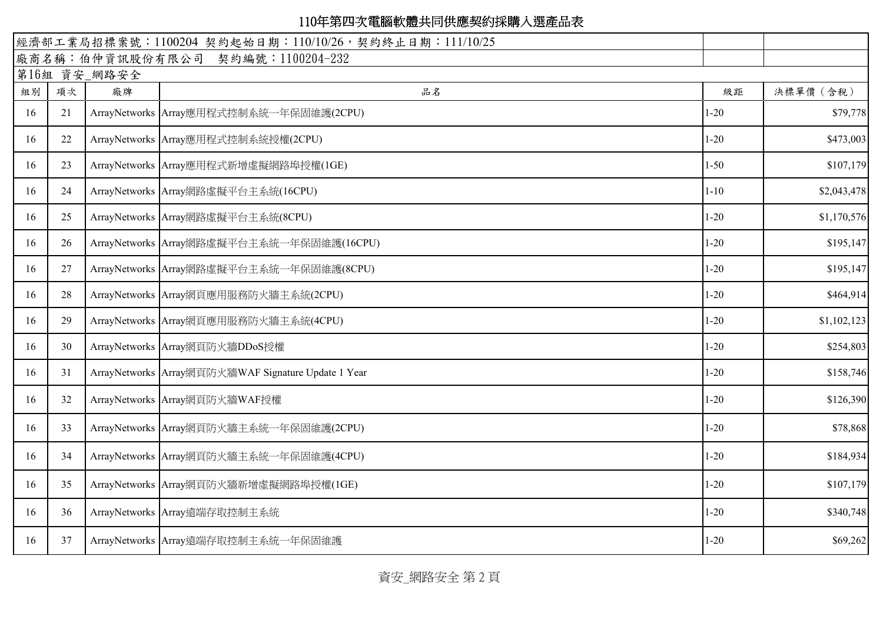|    |    |              | 經濟部工業局招標案號: 1100204 契約起始日期: 110/10/26, 契約終止日期: 111/10/25 |          |             |
|----|----|--------------|----------------------------------------------------------|----------|-------------|
|    |    |              | 廠商名稱:伯仲資訊股份有限公司 契約編號:1100204-232                         |          |             |
|    |    | 第16組 資安_網路安全 |                                                          |          |             |
| 組別 | 項次 | 廠牌           | 品名                                                       | 級距       | 決標單價 (含稅)   |
| 16 | 21 |              | ArrayNetworks Array應用程式控制系統一年保固維護(2CPU)                  | $1 - 20$ | \$79,778    |
| 16 | 22 |              | ArrayNetworks Array應用程式控制系統授權(2CPU)                      | $1 - 20$ | \$473,003   |
| 16 | 23 |              | ArrayNetworks Array應用程式新增虛擬網路埠授權(1GE)                    | $1 - 50$ | \$107,179   |
| 16 | 24 |              | ArrayNetworks Array網路虛擬平台主系統(16CPU)                      | $1 - 10$ | \$2,043,478 |
| 16 | 25 |              | ArrayNetworks Array網路虛擬平台主系統(8CPU)                       | $1 - 20$ | \$1,170,576 |
| 16 | 26 |              | ArrayNetworks Array網路虛擬平台主系統一年保固維護(16CPU)                | $1 - 20$ | \$195,147   |
| 16 | 27 |              | ArrayNetworks Array網路虛擬平台主系統一年保固維護(8CPU)                 | $1 - 20$ | \$195,147   |
| 16 | 28 |              | ArrayNetworks Array網頁應用服務防火牆主系統(2CPU)                    | $1 - 20$ | \$464,914   |
| 16 | 29 |              | ArrayNetworks Array網頁應用服務防火牆主系統(4CPU)                    | $1 - 20$ | \$1,102,123 |
| 16 | 30 |              | ArrayNetworks Array網頁防火牆DDoS授權                           | $1 - 20$ | \$254,803   |
| 16 | 31 |              | ArrayNetworks Array網頁防火牆WAF Signature Update 1 Year      | $1 - 20$ | \$158,746   |
| 16 | 32 |              | ArrayNetworks Array網頁防火牆WAF授權                            | $1 - 20$ | \$126,390   |
| 16 | 33 |              | ArrayNetworks Array網頁防火牆主系統一年保固維護(2CPU)                  | $1 - 20$ | \$78,868    |
| 16 | 34 |              | ArrayNetworks Array網頁防火牆主系統一年保固維護(4CPU)                  | $1 - 20$ | \$184,934   |
| 16 | 35 |              | ArrayNetworks Array網頁防火牆新增虛擬網路埠授權(IGE)                   | $1 - 20$ | \$107,179   |
| 16 | 36 |              | ArrayNetworks Array遠端存取控制主系統                             | $1 - 20$ | \$340,748   |
| 16 | 37 |              | ArrayNetworks Array遠端存取控制主系統一年保固維護                       | $1 - 20$ | \$69,262    |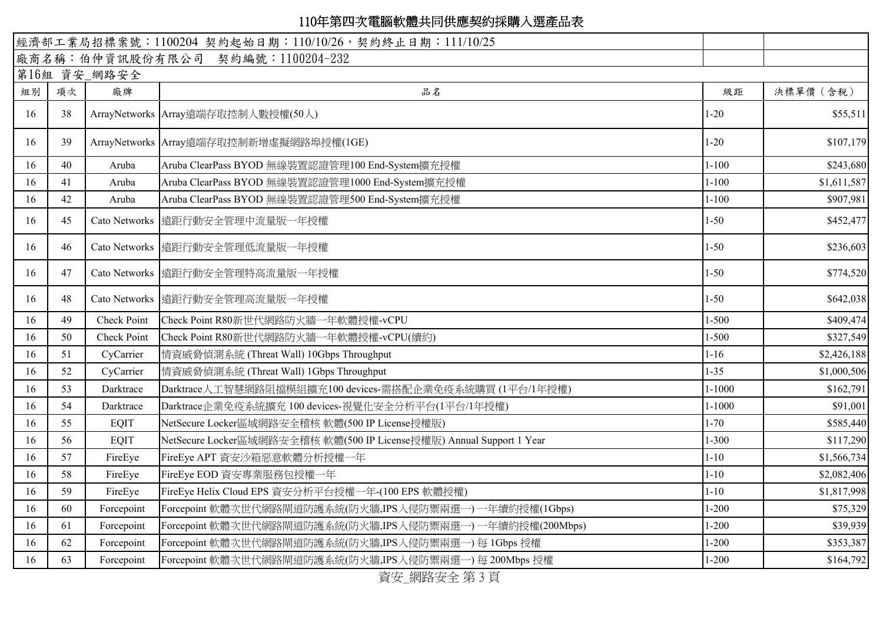|    |    |                    | 經濟部工業局招標案號: 1100204 契約起始日期: 110/10/26, 契約終止日期: 111/10/25             |            |             |
|----|----|--------------------|----------------------------------------------------------------------|------------|-------------|
|    |    |                    | 廠商名稱:伯仲資訊股份有限公司 契約編號:1100204-232                                     |            |             |
|    |    | 第16組 資安_網路安全       |                                                                      |            |             |
| 組別 | 項次 | 廠牌                 | 品名                                                                   | 級距         | 決標單價 (含稅)   |
| 16 | 38 |                    | ArrayNetworks Array遠端存取控制人數授權(50人)                                   | $1 - 20$   | \$55,511    |
| 16 | 39 |                    | ArrayNetworks Array遠端存取控制新增虛擬網路埠授權(IGE)                              | $1 - 20$   | \$107,179   |
| 16 | 40 | Aruba              | Aruba ClearPass BYOD 無線裝置認證管理100 End-System擴充授權                      | $1 - 100$  | \$243,680   |
| 16 | 41 | Aruba              | Aruba ClearPass BYOD 無線裝置認證管理1000 End-System擴充授權                     | $1 - 100$  | \$1,611,587 |
| 16 | 42 | Aruba              | Aruba ClearPass BYOD 無線裝置認證管理500 End-System擴充授權                      | $1 - 100$  | \$907,981   |
| 16 | 45 |                    | Cato Networks   遠距行動安全管理中流量版一年授權                                     | $1 - 50$   | \$452,477   |
| 16 | 46 |                    | Cato Networks   遠距行動安全管理低流量版一年授權                                     | $1 - 50$   | \$236,603   |
| 16 | 47 |                    | Cato Networks 遠距行動安全管理特高流量版一年授權                                      | $1 - 50$   | \$774,520   |
| 16 | 48 |                    | Cato Networks   遠距行動安全管理高流量版一年授權                                     | $1 - 50$   | \$642,038   |
| 16 | 49 | Check Point        | Check Point R80新世代網路防火牆一年軟體授權-vCPU                                   | $1 - 500$  | \$409,474   |
| 16 | 50 | <b>Check Point</b> | Check Point R80新世代網路防火牆一年軟體授權-vCPU(續約)                               | $1 - 500$  | \$327,549   |
| 16 | 51 | CyCarrier          | 情資威脅偵測系統 (Threat Wall) 10Gbps Throughput                             | $1 - 16$   | \$2,426,188 |
| 16 | 52 | CyCarrier          | 情資威脅偵測系統 (Threat Wall) 1Gbps Throughput                              | $1 - 35$   | \$1,000,506 |
| 16 | 53 | Darktrace          | Darktrace人工智慧網路阻擋模組擴充100 devices-需搭配企業免疫系統購買(1平台/1年授權)               | $1 - 1000$ | \$162,791   |
| 16 | 54 | Darktrace          | Darktrace企業免疫系統擴充 100 devices-視覺化安全分析平台(1平台/1年授權)                    | $1 - 1000$ | \$91,001    |
| 16 | 55 | <b>EQIT</b>        | NetSecure Locker區域網路安全稽核 軟體(500 IP License授權版)                       | $1 - 70$   | \$585,440   |
| 16 | 56 | <b>EQIT</b>        | NetSecure Locker區域網路安全稽核 軟體(500 IP License授權版) Annual Support 1 Year | $1 - 300$  | \$117,290   |
| 16 | 57 | FireEye            | FireEye APT 資安沙箱惡意軟體分析授權一年                                           | $1 - 10$   | \$1,566,734 |
| 16 | 58 | FireEye            | FireEye EOD 資安專業服務包授權一年                                              | $1 - 10$   | \$2,082,406 |
| 16 | 59 | FireEye            | FireEye Helix Cloud EPS 資安分析平台授權一年-(100 EPS 軟體授權)                    | $1 - 10$   | \$1,817,998 |
| 16 | 60 | Forcepoint         | Forcepoint 軟體次世代網路閘道防護系統(防火牆,IPS入侵防禦兩選一) 一年續約授權(1Gbps)               | $1 - 200$  | \$75,329    |
| 16 | 61 | Forcepoint         | [Forcepoint 軟體次世代網路閘道防護系統(防火牆,IPS入侵防禦兩選一) 一年續約授權(200Mbps)            | $1 - 200$  | \$39,939    |
| 16 | 62 | Forcepoint         | Forcepoint 軟體次世代網路閘道防護系統(防火牆,IPS入侵防禦兩選一) 每 1Gbps 授權                  | $1 - 200$  | \$353,387   |
| 16 | 63 | Forcepoint         | [Forcepoint 軟體次世代網路閘道防護系統(防火牆,IPS入侵防禦兩選一) 每 200Mbps 授權               | $1 - 200$  | \$164,792   |

資安\_網路安全 第 3 頁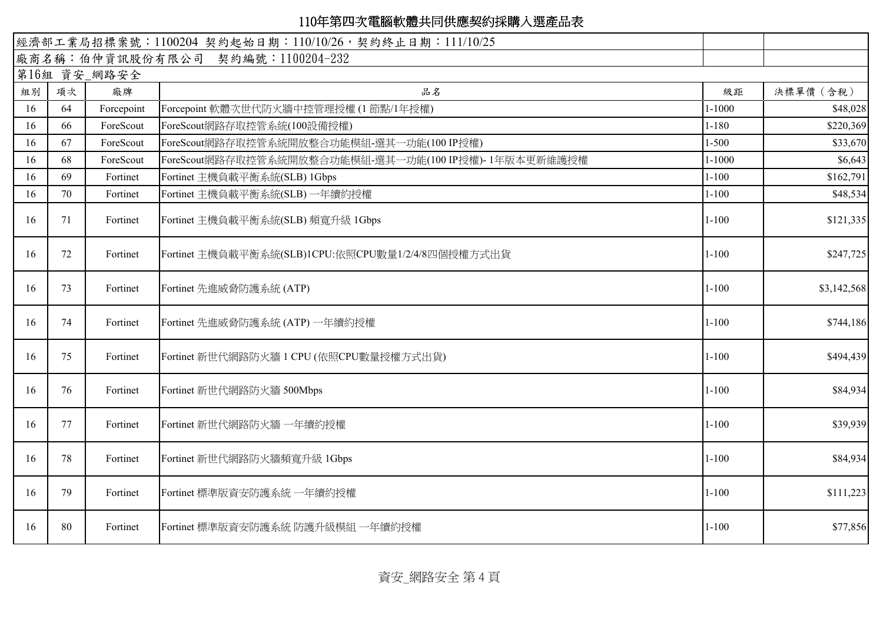|    |    |              | 經濟部工業局招標案號: 1100204 契約起始日期: 110/10/26, 契約終止日期: 111/10/25 |            |             |
|----|----|--------------|----------------------------------------------------------|------------|-------------|
|    |    |              | 廠商名稱:伯仲資訊股份有限公司 契約編號:1100204-232                         |            |             |
|    |    | 第16組 資安_網路安全 |                                                          |            |             |
| 組別 | 項次 | 廠牌           | 品名                                                       | 級距         | 決標單價 (含稅)   |
| 16 | 64 | Forcepoint   | Forcepoint 軟體次世代防火牆中控管理授權(1節點/1年授權)                      | $1 - 1000$ | \$48,028    |
| 16 | 66 | ForeScout    | ForeScout網路存取控管系統(100設備授權)                               | $1 - 180$  | \$220,369   |
| 16 | 67 | ForeScout    | ForeScout網路存取控管系統開放整合功能模組-選其一功能(100 IP授權)                | $1 - 500$  | \$33,670    |
| 16 | 68 | ForeScout    | ForeScout網路存取控管系統開放整合功能模組-選其一功能(100 IP授權)-1年版本更新維護授權     | $1 - 1000$ | \$6,643     |
| 16 | 69 | Fortinet     | Fortinet 主機負載平衡系統(SLB) 1Gbps                             | $1 - 100$  | \$162,791   |
| 16 | 70 | Fortinet     | Fortinet 主機負載平衡系統(SLB) 一年續約授權                            | $1 - 100$  | \$48,534    |
| 16 | 71 | Fortinet     | Fortinet 主機負載平衡系統(SLB) 頻寬升級 1Gbps                        | $1 - 100$  | \$121,335   |
| 16 | 72 | Fortinet     | Fortinet 主機負載平衡系統(SLB)1CPU:依照CPU數量1/2/4/8四個授權方式出貨        | $1 - 100$  | \$247,725   |
| 16 | 73 | Fortinet     | Fortinet 先進威脅防護系統 (ATP)                                  | $1 - 100$  | \$3,142,568 |
| 16 | 74 | Fortinet     | Fortinet 先進威脅防護系統 (ATP) 一年續約授權                           | $1 - 100$  | \$744,186   |
| 16 | 75 | Fortinet     | Fortinet 新世代網路防火牆 1 CPU (依照CPU數量授權方式出貨)                  | $1 - 100$  | \$494,439   |
| 16 | 76 | Fortinet     | Fortinet 新世代網路防火牆 500Mbps                                | $1 - 100$  | \$84,934    |
| 16 | 77 | Fortinet     | Fortinet 新世代網路防火牆 一年續約授權                                 | $1 - 100$  | \$39,939    |
| 16 | 78 | Fortinet     | Fortinet 新世代網路防火牆頻寬升級 1Gbps                              | $1 - 100$  | \$84,934    |
| 16 | 79 | Fortinet     | Fortinet 標準版資安防護系統 一年續約授權                                | $1 - 100$  | \$111,223   |
| 16 | 80 | Fortinet     | Fortinet 標準版資安防護系統 防護升級模組 一年續約授權                         | $1 - 100$  | \$77,856    |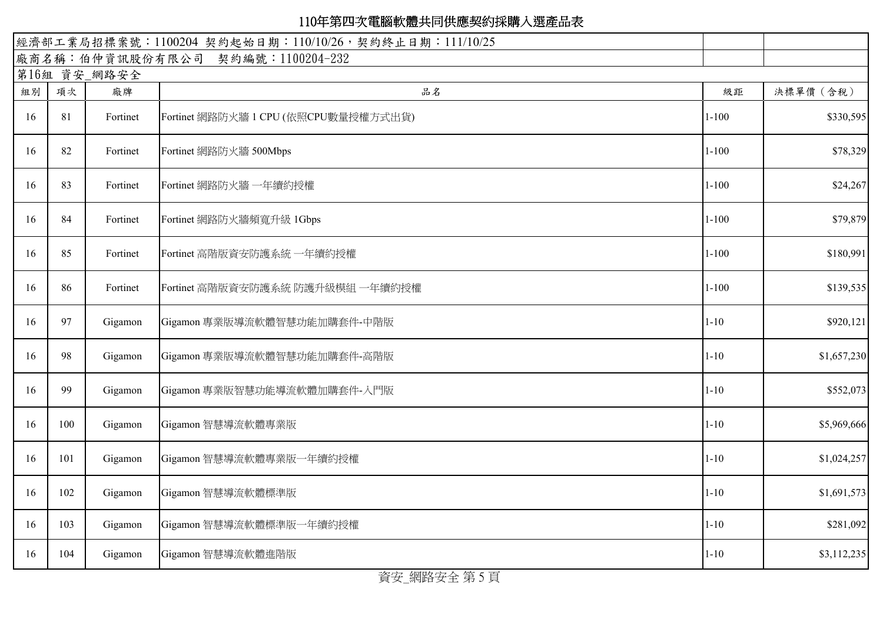|    | 經濟部工業局招標案號: 1100204 契約起始日期: 110/10/26, 契約終止日期: 111/10/25 |              |                                      |           |             |  |  |
|----|----------------------------------------------------------|--------------|--------------------------------------|-----------|-------------|--|--|
|    | 廠商名稱:伯仲資訊股份有限公司 契約編號:1100204-232                         |              |                                      |           |             |  |  |
|    |                                                          | 第16組 資安_網路安全 |                                      |           |             |  |  |
| 組別 | 項次                                                       | 廠牌           | 品名                                   | 級距        | 決標單價 (含稅)   |  |  |
| 16 | 81                                                       | Fortinet     | Fortinet 網路防火牆 1 CPU (依照CPU數量授權方式出貨) | $1 - 100$ | \$330,595   |  |  |
| 16 | 82                                                       | Fortinet     | Fortinet 網路防火牆 500Mbps               | $1 - 100$ | \$78,329    |  |  |
| 16 | 83                                                       | Fortinet     | Fortinet 網路防火牆 一年續約授權                | $1 - 100$ | \$24,267    |  |  |
| 16 | 84                                                       | Fortinet     | Fortinet 網路防火牆頻寬升級 1Gbps             | $1 - 100$ | \$79,879    |  |  |
| 16 | 85                                                       | Fortinet     | Fortinet 高階版資安防護系統 一年續約授權            | $1 - 100$ | \$180,991   |  |  |
| 16 | 86                                                       | Fortinet     | Fortinet 高階版資安防護系統 防護升級模組 一年續約授權     | $1 - 100$ | \$139,535   |  |  |
| 16 | 97                                                       | Gigamon      | Gigamon 專業版導流軟體智慧功能加購套件-中階版          | $1 - 10$  | \$920,121   |  |  |
| 16 | 98                                                       | Gigamon      | Gigamon 專業版導流軟體智慧功能加購套件-高階版          | $1 - 10$  | \$1,657,230 |  |  |
| 16 | 99                                                       | Gigamon      | Gigamon 專業版智慧功能導流軟體加購套件-入門版          | $1 - 10$  | \$552,073   |  |  |
| 16 | 100                                                      | Gigamon      | Gigamon 智慧導流軟體專業版                    | $1 - 10$  | \$5,969,666 |  |  |
| 16 | 101                                                      | Gigamon      | Gigamon 智慧導流軟體專業版一年續約授權              | $1 - 10$  | \$1,024,257 |  |  |
| 16 | 102                                                      | Gigamon      | Gigamon 智慧導流軟體標準版                    | $1 - 10$  | \$1,691,573 |  |  |
| 16 | 103                                                      | Gigamon      | Gigamon 智慧導流軟體標準版一年續約授權              | $1 - 10$  | \$281,092   |  |  |
| 16 | 104                                                      | Gigamon      | Gigamon 智慧導流軟體進階版                    | $1 - 10$  | \$3,112,235 |  |  |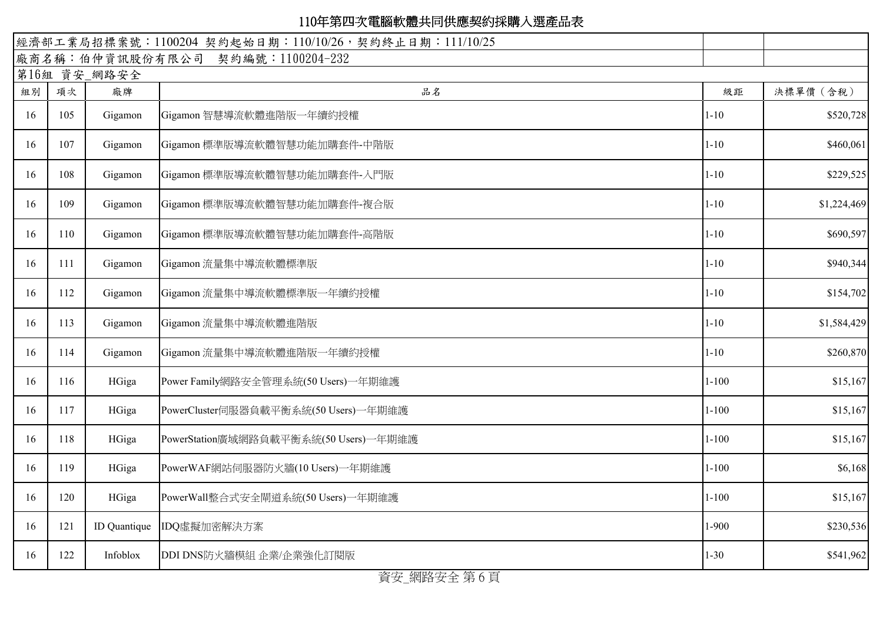|    |     |                    | 經濟部工業局招標案號: 1100204 契約起始日期: 110/10/26, 契約終止日期: 111/10/25 |           |             |
|----|-----|--------------------|----------------------------------------------------------|-----------|-------------|
|    |     |                    | 廠商名稱:伯仲資訊股份有限公司 契約編號:1100204-232                         |           |             |
| 組別 | 項次  | 第16組 資安_網路安全<br>廠牌 | 品名                                                       | 級距        | 決標單價 (含稅)   |
| 16 | 105 | Gigamon            | Gigamon 智慧導流軟體進階版一年續約授權                                  | $1 - 10$  | \$520,728   |
| 16 | 107 | Gigamon            | Gigamon 標準版導流軟體智慧功能加購套件-中階版                              | $1 - 10$  | \$460,061   |
| 16 | 108 | Gigamon            | Gigamon 標準版導流軟體智慧功能加購套件-入門版                              | $1 - 10$  | \$229,525   |
| 16 | 109 | Gigamon            | Gigamon 標準版導流軟體智慧功能加購套件-複合版                              | $1 - 10$  | \$1,224,469 |
| 16 | 110 | Gigamon            | Gigamon 標準版導流軟體智慧功能加購套件-高階版                              | $1 - 10$  | \$690,597   |
| 16 | 111 | Gigamon            | Gigamon 流量集中導流軟體標準版                                      | $1 - 10$  | \$940,344   |
| 16 | 112 | Gigamon            | Gigamon 流量集中導流軟體標準版一年續約授權                                | $1 - 10$  | \$154,702   |
| 16 | 113 | Gigamon            | Gigamon 流量集中導流軟體進階版                                      | $1 - 10$  | \$1,584,429 |
| 16 | 114 | Gigamon            | Gigamon 流量集中導流軟體進階版一年續約授權                                | $1 - 10$  | \$260,870   |
| 16 | 116 | HGiga              | Power Family網路安全管理系統(50 Users)一年期維護                      | $1 - 100$ | \$15,167    |
| 16 | 117 | HGiga              | PowerCluster伺服器負載平衡系統(50 Users)一年期維護                     | $1 - 100$ | \$15,167    |
| 16 | 118 | HGiga              | PowerStation廣域網路負載平衡系統(50 Users)一年期維護                    | $1 - 100$ | \$15,167    |
| 16 | 119 | HGiga              | PowerWAF網站伺服器防火牆(10 Users)一年期維護                          | $1 - 100$ | \$6,168     |
| 16 | 120 | HGiga              | PowerWall整合式安全閘道系統(50 Users)一年期維護                        | $1 - 100$ | \$15,167    |
| 16 | 121 | ID Quantique       | IDQ虛擬加密解決方案                                              | $1 - 900$ | \$230,536   |
| 16 | 122 | Infoblox           | DDI DNS防火牆模組 企業/企業強化訂閱版                                  | $1 - 30$  | \$541,962   |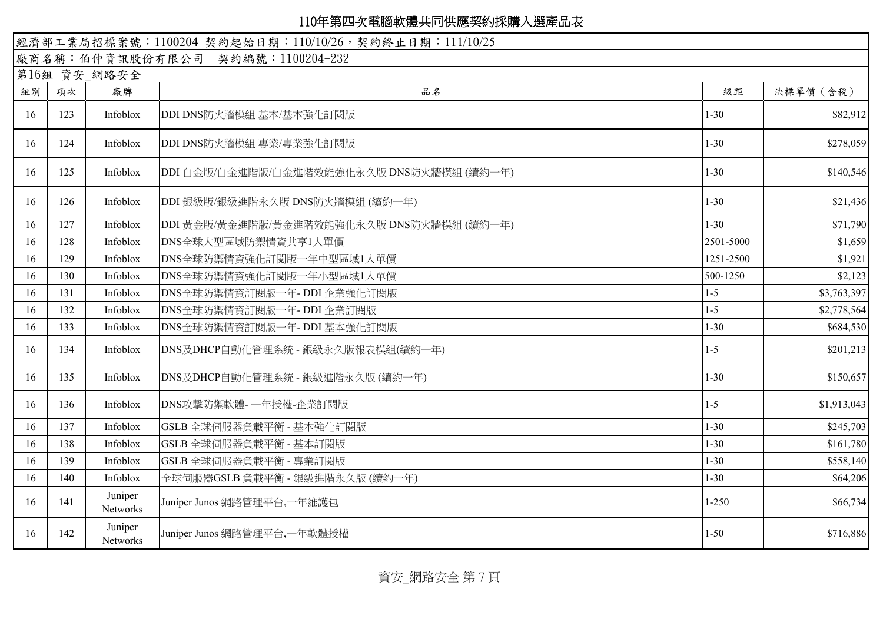|    |     |                     | 經濟部工業局招標案號: 1100204 契約起始日期: 110/10/26, 契約終止日期: 111/10/25 |           |             |
|----|-----|---------------------|----------------------------------------------------------|-----------|-------------|
|    |     |                     | 廠商名稱:伯仲資訊股份有限公司 契約編號:1100204-232                         |           |             |
|    |     | 第16組 資安_網路安全        |                                                          |           |             |
| 組別 | 項次  | 廠牌                  | 品名                                                       | 級距        | 決標單價 (含稅)   |
| 16 | 123 | Infoblox            | DDI DNS防火牆模組 基本/基本強化訂閱版                                  | $1 - 30$  | \$82,912    |
| 16 | 124 | Infoblox            | DDI DNS防火牆模組 專業/專業強化訂閱版                                  | $1 - 30$  | \$278,059   |
| 16 | 125 | Infoblox            | DDI 白金版/白金進階版/白金進階效能強化永久版 DNS防火牆模組 (續約一年)                | $1 - 30$  | \$140,546   |
| 16 | 126 | Infoblox            | DDI 銀級版/銀級進階永久版 DNS防火牆模組 (續約一年)                          | $1 - 30$  | \$21,436    |
| 16 | 127 | Infoblox            | DDI 黃金版/黃金進階版/黃金進階效能強化永久版 DNS防火牆模組 (續約一年)                | $1 - 30$  | \$71,790    |
| 16 | 128 | Infoblox            | DNS全球大型區域防禦情資共享1人單價                                      | 2501-5000 | \$1,659     |
| 16 | 129 | Infoblox            | DNS全球防禦情資強化訂閱版一年中型區域1人單價                                 | 1251-2500 | \$1,921     |
| 16 | 130 | Infoblox            | DNS全球防禦情資強化訂閱版一年小型區域1人單價                                 | 500-1250  | \$2,123     |
| 16 | 131 | Infoblox            | DNS全球防禦情資訂閱版一年-DDI企業強化訂閱版                                | $1-5$     | \$3,763,397 |
| 16 | 132 | Infoblox            | DNS全球防禦情資訂閱版一年-DDI 企業訂閱版                                 | $-5$      | \$2,778,564 |
| 16 | 133 | Infoblox            | DNS全球防禦情資訂閱版一年-DDI 基本強化訂閱版                               | $1 - 30$  | \$684,530   |
| 16 | 134 | Infoblox            | DNS及DHCP自動化管理系統 - 銀級永久版報表模組(續約一年)                        | $1 - 5$   | \$201,213   |
| 16 | 135 | Infoblox            | DNS及DHCP自動化管理系統 - 銀級進階永久版 (續約一年)                         | $1 - 30$  | \$150,657   |
| 16 | 136 | Infoblox            | DNS攻擊防禦軟體-一年授權-企業訂閱版                                     | $1 - 5$   | \$1,913,043 |
| 16 | 137 | Infoblox            | GSLB 全球伺服器負載平衡 - 基本強化訂閱版                                 | $1 - 30$  | \$245,703   |
| 16 | 138 | Infoblox            | GSLB 全球伺服器負載平衡 - 基本訂閱版                                   | $1 - 30$  | \$161,780   |
| 16 | 139 | Infoblox            | GSLB 全球伺服器負載平衡 - 專業訂閱版                                   | $1 - 30$  | \$558,140   |
| 16 | 140 | Infoblox            | 全球伺服器GSLB 負載平衡 - 銀級進階永久版 (續約一年)                          | $1 - 30$  | \$64,206    |
| 16 | 141 | Juniper<br>Networks | Juniper Junos 網路管理平台,一年維護包                               | 1-250     | \$66,734    |
| 16 | 142 | Juniper<br>Networks | Juniper Junos 網路管理平台,一年軟體授權                              | $1 - 50$  | \$716,886   |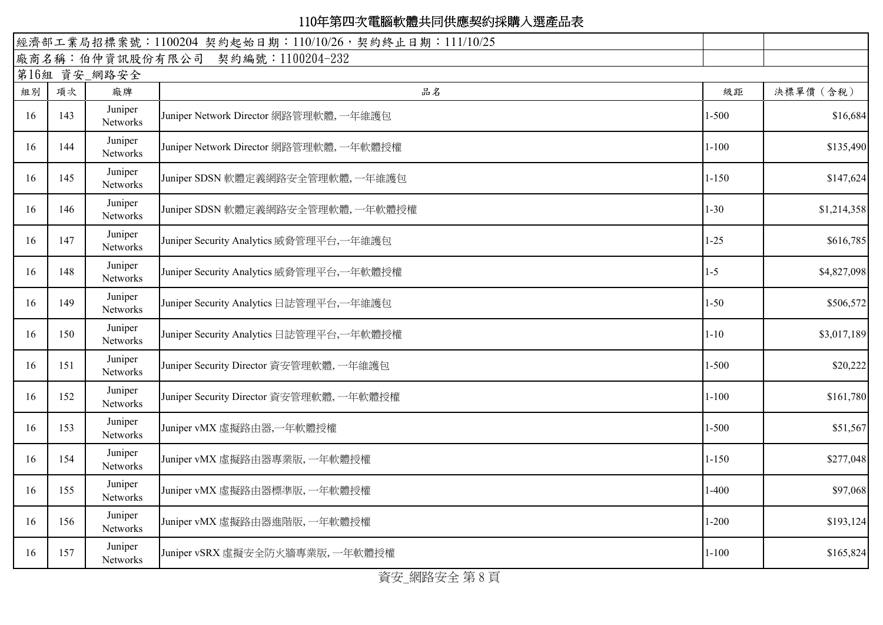|    | 經濟部工業局招標案號: 1100204 契約起始日期: 110/10/26, 契約終止日期: 111/10/25 |                            |                                          |           |             |  |
|----|----------------------------------------------------------|----------------------------|------------------------------------------|-----------|-------------|--|
|    |                                                          |                            | 廠商名稱:伯仲資訊股份有限公司 契約編號:1100204-232         |           |             |  |
|    |                                                          | 第16組 資安_網路安全               |                                          |           |             |  |
| 組別 | 項次                                                       | 廠牌                         | 品名                                       | 級距        | 決標單價 (含稅)   |  |
| 16 | 143                                                      | Juniper<br><b>Networks</b> | Juniper Network Director 網路管理軟體, 一年維護包   | $1 - 500$ | \$16,684    |  |
| 16 | 144                                                      | Juniper<br>Networks        | Juniper Network Director 網路管理軟體, 一年軟體授權  | $1 - 100$ | \$135,490   |  |
| 16 | 145                                                      | Juniper<br>Networks        | Juniper SDSN 軟體定義網路安全管理軟體, 一年維護包         | $1 - 150$ | \$147,624   |  |
| 16 | 146                                                      | Juniper<br>Networks        | Juniper SDSN 軟體定義網路安全管理軟體,一年軟體授權         | $1 - 30$  | \$1,214,358 |  |
| 16 | 147                                                      | Juniper<br><b>Networks</b> | Juniper Security Analytics 威脅管理平台,一年維護包  | $1 - 25$  | \$616,785   |  |
| 16 | 148                                                      | Juniper<br>Networks        | Juniper Security Analytics 威脅管理平台,一年軟體授權 | $1 - 5$   | \$4,827,098 |  |
| 16 | 149                                                      | Juniper<br>Networks        | Juniper Security Analytics 日誌管理平台,一年維護包  | $1 - 50$  | \$506,572   |  |
| 16 | 150                                                      | Juniper<br>Networks        | Juniper Security Analytics 日誌管理平台,一年軟體授權 | $1 - 10$  | \$3,017,189 |  |
| 16 | 151                                                      | Juniper<br>Networks        | Juniper Security Director 資安管理軟體, 一年維護包  | $1 - 500$ | \$20,222    |  |
| 16 | 152                                                      | Juniper<br><b>Networks</b> | Juniper Security Director 資安管理軟體, 一年軟體授權 | $1 - 100$ | \$161,780   |  |
| 16 | 153                                                      | Juniper<br>Networks        | Juniper vMX 虛擬路由器,一年軟體授權                 | $1 - 500$ | \$51,567    |  |
| 16 | 154                                                      | Juniper<br>Networks        | Juniper vMX 虛擬路由器專業版, 一年軟體授權             | $1 - 150$ | \$277,048   |  |
| 16 | 155                                                      | Juniper<br>Networks        | Juniper vMX 虛擬路由器標準版, 一年軟體授權             | $1-400$   | \$97,068    |  |
| 16 | 156                                                      | Juniper<br>Networks        | Juniper vMX 虛擬路由器進階版, 一年軟體授權             | $1 - 200$ | \$193,124   |  |
| 16 | 157                                                      | Juniper<br>Networks        | Juniper vSRX 虛擬安全防火牆專業版, 一年軟體授權          | $1 - 100$ | \$165,824   |  |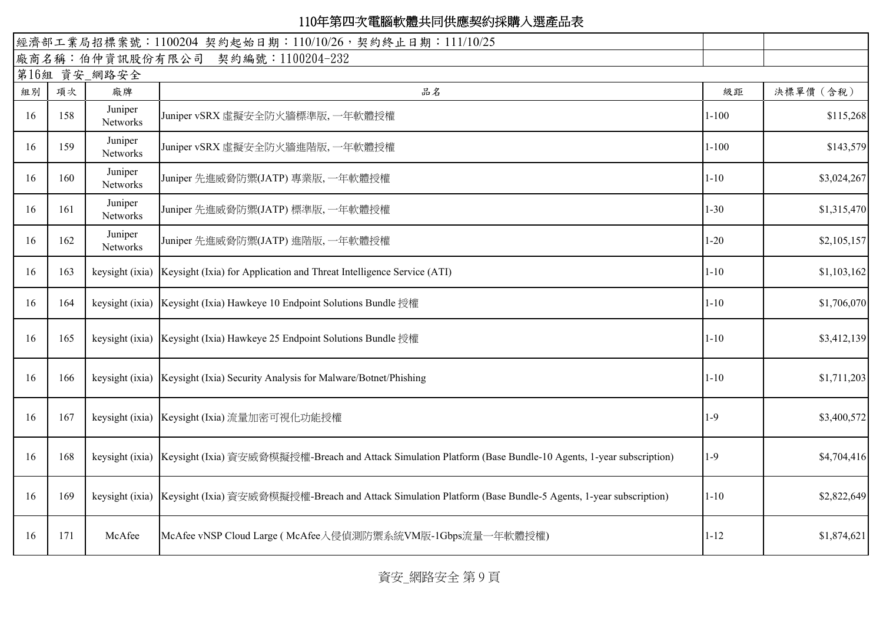| 經濟部工業局招標案號: 1100204 契約起始日期: 110/10/26, 契約終止日期: 111/10/25 |              |                     |                                                                                                             |           |             |  |  |  |
|----------------------------------------------------------|--------------|---------------------|-------------------------------------------------------------------------------------------------------------|-----------|-------------|--|--|--|
|                                                          |              |                     | 廠商名稱:伯仲資訊股份有限公司 契約編號:1100204-232                                                                            |           |             |  |  |  |
|                                                          | 第16組 資安_網路安全 |                     |                                                                                                             |           |             |  |  |  |
| 組別                                                       | 項次           | 廠牌                  | 品名                                                                                                          | 級距        | 決標單價 (含稅)   |  |  |  |
| 16                                                       | 158          | Juniper<br>Networks | Juniper vSRX 虛擬安全防火牆標準版, 一年軟體授權                                                                             | $1 - 100$ | \$115,268   |  |  |  |
| 16                                                       | 159          | Juniper<br>Networks | Juniper vSRX 虛擬安全防火牆進階版, 一年軟體授權                                                                             | $1 - 100$ | \$143,579   |  |  |  |
| 16                                                       | 160          | Juniper<br>Networks | Juniper 先進威脅防禦(JATP) 專業版, 一年軟體授權                                                                            | $1 - 10$  | \$3,024,267 |  |  |  |
| 16                                                       | 161          | Juniper<br>Networks | Juniper 先進威脅防禦(JATP) 標準版, 一年軟體授權                                                                            | $1 - 30$  | \$1,315,470 |  |  |  |
| 16                                                       | 162          | Juniper<br>Networks | Juniper 先進威脅防禦(JATP) 進階版, 一年軟體授權                                                                            | $1 - 20$  | \$2,105,157 |  |  |  |
| 16                                                       | 163          | keysight (ixia)     | Keysight (Ixia) for Application and Threat Intelligence Service (ATI)                                       | $1 - 10$  | \$1,103,162 |  |  |  |
| 16                                                       | 164          | keysight (ixia)     | Keysight (Ixia) Hawkeye 10 Endpoint Solutions Bundle 授權                                                     | $1 - 10$  | \$1,706,070 |  |  |  |
| 16                                                       | 165          | keysight (ixia)     | Keysight (Ixia) Hawkeye 25 Endpoint Solutions Bundle 授權                                                     | $1 - 10$  | \$3,412,139 |  |  |  |
| 16                                                       | 166          | keysight (ixia)     | Keysight (Ixia) Security Analysis for Malware/Botnet/Phishing                                               | $1 - 10$  | \$1,711,203 |  |  |  |
| 16                                                       | 167          | keysight (ixia)     | Keysight (Ixia) 流量加密可視化功能授權                                                                                 | $1-9$     | \$3,400,572 |  |  |  |
| 16                                                       | 168          | keysight (ixia)     | Keysight (Ixia) 資安威脅模擬授權-Breach and Attack Simulation Platform (Base Bundle-10 Agents, 1-year subscription) | $1-9$     | \$4,704,416 |  |  |  |
| 16                                                       | 169          | keysight (ixia)     | Keysight (Ixia) 資安威脅模擬授權-Breach and Attack Simulation Platform (Base Bundle-5 Agents, 1-year subscription)  | $1 - 10$  | \$2,822,649 |  |  |  |
| 16                                                       | 171          | McAfee              | McAfee vNSP Cloud Large (McAfee入侵偵測防禦系統VM版-1Gbps流量一年軟體授權)                                                   | $1 - 12$  | \$1,874,621 |  |  |  |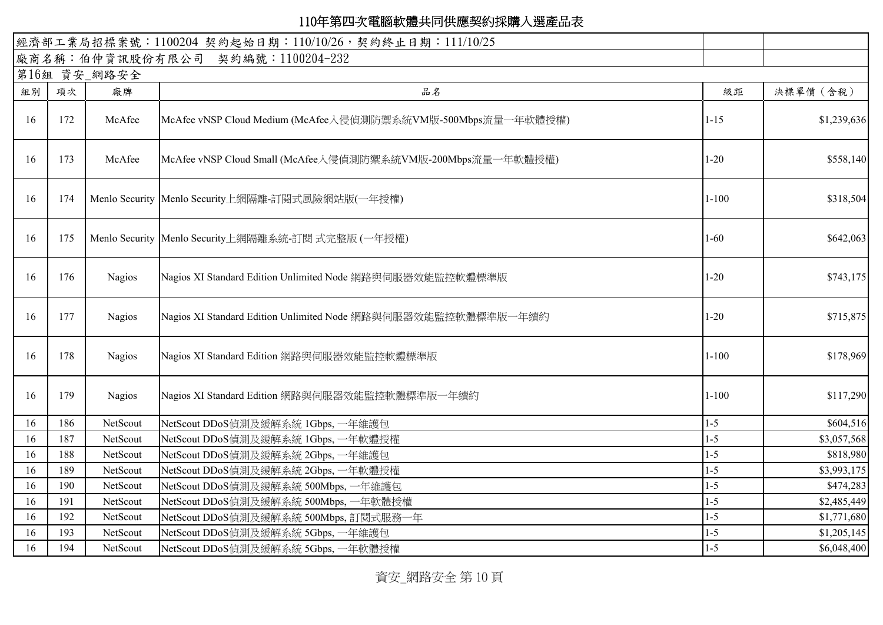|    |     |               | 經濟部工業局招標案號: 1100204 契約起始日期: 110/10/26, 契約終止日期: 111/10/25      |           |             |
|----|-----|---------------|---------------------------------------------------------------|-----------|-------------|
|    |     |               | 廠商名稱:伯仲資訊股份有限公司 契約編號:1100204-232                              |           |             |
|    |     | 第16組 資安_網路安全  |                                                               |           |             |
| 組別 | 項次  | 廠牌            | 品名                                                            | 級距        | 決標單價 (含稅)   |
| 16 | 172 | McAfee        | McAfee vNSP Cloud Medium (McAfee入侵偵測防禦系統VM版-500Mbps流量一年軟體授權)  | $1 - 15$  | \$1,239,636 |
| 16 | 173 | McAfee        | McAfee vNSP Cloud Small (McAfee入侵偵測防禦系統VM版-200Mbps流量一年軟體授權)   | $1 - 20$  | \$558,140   |
| 16 | 174 |               | Menlo Security Menlo Security上網隔離-訂閱式風險網站版(一年授權)              | $1 - 100$ | \$318,504   |
| 16 | 175 |               | Menlo Security   Menlo Security上網隔離系統-訂閱 式完整版 (一年授權)          | $1 - 60$  | \$642,063   |
| 16 | 176 | <b>Nagios</b> | Nagios XI Standard Edition Unlimited Node 網路與伺服器效能監控軟體標準版     | $1 - 20$  | \$743,175   |
| 16 | 177 | <b>Nagios</b> | Nagios XI Standard Edition Unlimited Node 網路與伺服器效能監控軟體標準版一年續約 | $1 - 20$  | \$715,875   |
| 16 | 178 | <b>Nagios</b> | Nagios XI Standard Edition 網路與伺服器效能監控軟體標準版                    | $1 - 100$ | \$178,969   |
| 16 | 179 | <b>Nagios</b> | Nagios XI Standard Edition 網路與伺服器效能監控軟體標準版一年續約                | $1 - 100$ | \$117,290   |
| 16 | 186 | NetScout      | NetScout DDoS偵測及緩解系統 1Gbps, 一年維護包                             | $1 - 5$   | \$604,516   |
| 16 | 187 | NetScout      | NetScout DDoS偵測及緩解系統 1Gbps, 一年軟體授權                            | $1-5$     | \$3,057,568 |
| 16 | 188 | NetScout      | NetScout DDoS偵測及緩解系統 2Gbps, 一年維護包                             | $1 - 5$   | \$818,980   |
| 16 | 189 | NetScout      | NetScout DDoS偵測及緩解系統 2Gbps, 一年軟體授權                            | $1 - 5$   | \$3,993,175 |
| 16 | 190 | NetScout      | NetScout DDoS偵測及緩解系統 500Mbps, 一年維護包                           | $1 - 5$   | \$474,283   |
| 16 | 191 | NetScout      | NetScout DDoS偵測及緩解系統 500Mbps, 一年軟體授權                          | $1-5$     | \$2,485,449 |
| 16 | 192 | NetScout      | NetScout DDoS偵測及緩解系統 500Mbps, 訂閱式服務一年                         | $1 - 5$   | \$1,771,680 |
| 16 | 193 | NetScout      | NetScout DDoS偵測及緩解系統 5Gbps, 一年維護包                             | $1-5$     | \$1,205,145 |
| 16 | 194 | NetScout      | NetScout DDoS偵測及緩解系統 5Gbps, 一年軟體授權                            | $1-5$     | \$6,048,400 |

資安\_網路安全 第 10 頁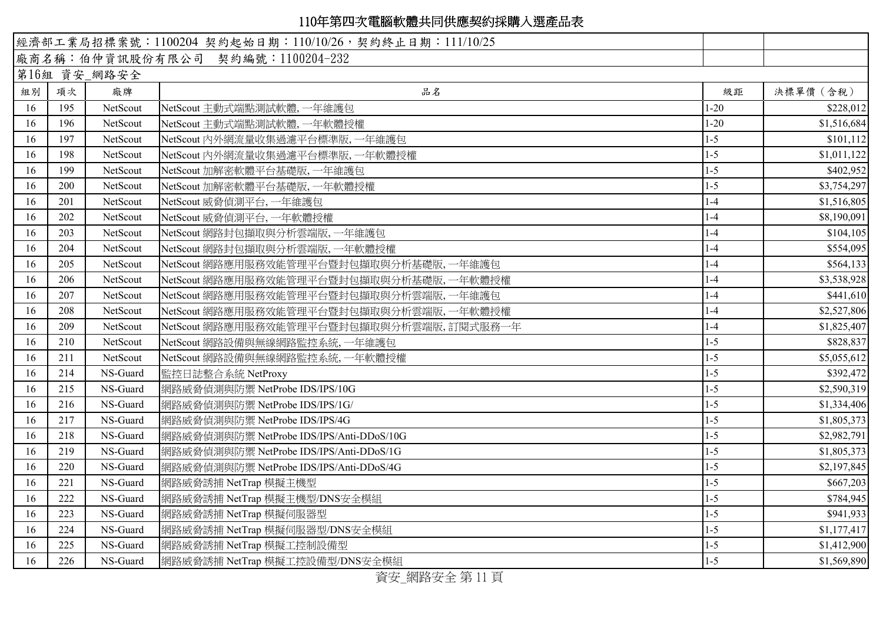|    |     |              | 經濟部工業局招標案號: 1100204 契約起始日期: 110/10/26, 契約終止日期: 111/10/25 |          |             |
|----|-----|--------------|----------------------------------------------------------|----------|-------------|
|    |     |              | 廠商名稱:伯仲資訊股份有限公司 契約編號:1100204-232                         |          |             |
|    |     | 第16組 資安_網路安全 |                                                          |          |             |
| 組別 | 項次  | 廠牌           | 品名                                                       | 級距       | 決標單價 (含稅)   |
| 16 | 195 | NetScout     | NetScout 主動式端點測試軟體,一年維護包                                 | $1 - 20$ | \$228,012   |
| 16 | 196 | NetScout     | NetScout 主動式端點測試軟體,一年軟體授權                                | $1 - 20$ | \$1,516,684 |
| 16 | 197 | NetScout     | NetScout 内外網流量收集過濾平台標準版,一年維護包                            | $1 - 5$  | \$101,112   |
| 16 | 198 | NetScout     | NetScout 内外網流量收集過濾平台標準版,一年軟體授權                           | $1-5$    | \$1,011,122 |
| 16 | 199 | NetScout     | NetScout 加解密軟體平台基礎版,一年維護包                                | $1 - 5$  | \$402,952   |
| 16 | 200 | NetScout     | NetScout 加解密軟體平台基礎版,一年軟體授權                               | $1 - 5$  | \$3,754,297 |
| 16 | 201 | NetScout     | NetScout 威脅偵測平台, 一年維護包                                   | $1-4$    | \$1,516,805 |
| 16 | 202 | NetScout     | NetScout 威脅偵測平台, 一年軟體授權                                  | $1-4$    | \$8,190,091 |
| 16 | 203 | NetScout     | NetScout 網路封包擷取與分析雲端版,一年維護包                              | $1 - 4$  | \$104,105   |
| 16 | 204 | NetScout     | NetScout 網路封包擷取與分析雲端版, 一年軟體授權                            | $1-4$    | \$554,095   |
| 16 | 205 | NetScout     | NetScout 網路應用服務效能管理平台暨封包擷取與分析基礎版,一年維護包                   | $1 - 4$  | \$564,133   |
| 16 | 206 | NetScout     | NetScout 網路應用服務效能管理平台暨封包擷取與分析基礎版,一年軟體授權                  | $1 - 4$  | \$3,538,928 |
| 16 | 207 | NetScout     | NetScout 網路應用服務效能管理平台暨封包擷取與分析雲端版, 一年維護包                  | $1-4$    | \$441,610   |
| 16 | 208 | NetScout     | NetScout 網路應用服務效能管理平台暨封包擷取與分析雲端版,一年軟體授權                  | $1-4$    | \$2,527,806 |
| 16 | 209 | NetScout     | NetScout 網路應用服務效能管理平台暨封包擷取與分析雲端版,訂閱式服務一年                 | $1-4$    | \$1,825,407 |
| 16 | 210 | NetScout     | NetScout 網路設備與無線網路監控系統,一年維護包                             | $1 - 5$  | \$828,837   |
| 16 | 211 | NetScout     | NetScout 網路設備與無線網路監控系統,一年軟體授權                            | $1 - 5$  | \$5,055,612 |
| 16 | 214 | NS-Guard     | 監控日誌整合系統 NetProxy                                        | $1 - 5$  | \$392,472   |
| 16 | 215 | NS-Guard     | 網路威脅偵測與防禦 NetProbe IDS/IPS/10G                           | $1 - 5$  | \$2,590,319 |
| 16 | 216 | NS-Guard     | 網路威脅偵測與防禦 NetProbe IDS/IPS/1G/                           | $1 - 5$  | \$1,334,406 |
| 16 | 217 | NS-Guard     | 網路威脅偵測與防禦 NetProbe IDS/IPS/4G                            | $1-5$    | \$1,805,373 |
| 16 | 218 | NS-Guard     | 網路威脅偵測與防禦 NetProbe IDS/IPS/Anti-DDoS/10G                 | $1 - 5$  | \$2,982,791 |
| 16 | 219 | NS-Guard     | 網路威脅偵測與防禦 NetProbe IDS/IPS/Anti-DDoS/1G                  | $1 - 5$  | \$1,805,373 |
| 16 | 220 | NS-Guard     | 網路威脅偵測與防禦 NetProbe IDS/IPS/Anti-DDoS/4G                  | $1 - 5$  | \$2,197,845 |
| 16 | 221 | NS-Guard     | 網路威脅誘捕 NetTrap 模擬主機型                                     | $1 - 5$  | \$667,203   |
| 16 | 222 | NS-Guard     | 網路威脅誘捕 NetTrap 模擬主機型/DNS安全模組                             | $1 - 5$  | \$784,945   |
| 16 | 223 | NS-Guard     | 網路威脅誘捕 NetTrap 模擬伺服器型                                    | $1 - 5$  | \$941,933   |
| 16 | 224 | NS-Guard     | 網路威脅誘捕 NetTrap 模擬伺服器型/DNS安全模組                            | $1-5$    | \$1,177,417 |
| 16 | 225 | NS-Guard     | 網路威脅誘捕 NetTrap 模擬工控制設備型                                  | $1 - 5$  | \$1,412,900 |
| 16 | 226 | NS-Guard     | 網路威脅誘捕 NetTrap 模擬工控設備型/DNS安全模組<br>$F - F - F$            | $1 - 5$  | \$1,569,890 |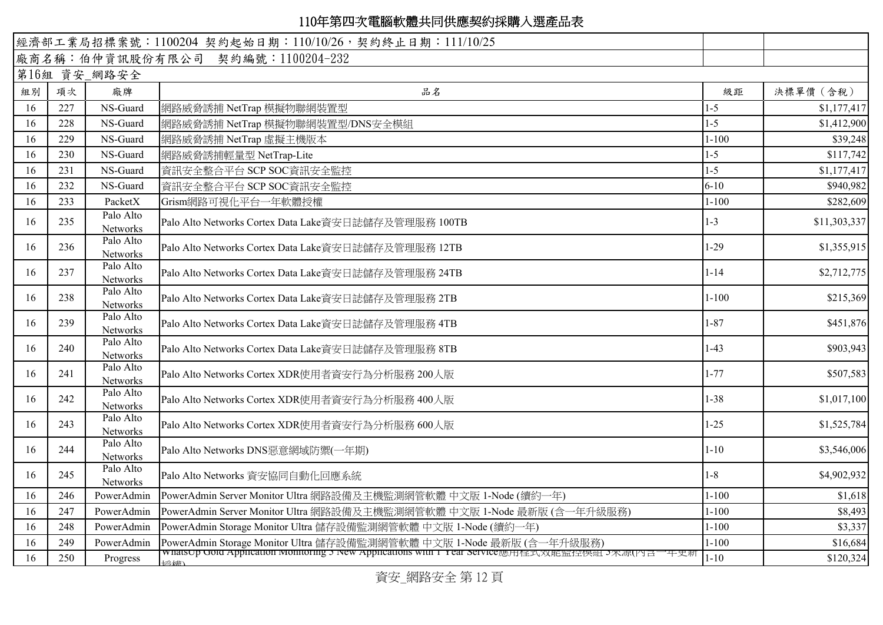| 經濟部工業局招標案號: 1100204 契約起始日期: 110/10/26, 契約終止日期: 111/10/25 |     |                              |                                                                                                       |           |              |
|----------------------------------------------------------|-----|------------------------------|-------------------------------------------------------------------------------------------------------|-----------|--------------|
|                                                          |     |                              | 廠商名稱:伯仲資訊股份有限公司 契約編號:1100204-232                                                                      |           |              |
|                                                          |     | 第16組 資安_網路安全                 |                                                                                                       |           |              |
| 組別                                                       | 項次  | 廠牌                           | 品名                                                                                                    | 級距        | 決標單價 (含稅)    |
| 16                                                       | 227 | NS-Guard                     | 網路威脅誘捕 NetTrap 模擬物聯網裝置型                                                                               | $1-5$     | \$1,177,417  |
| 16                                                       | 228 | NS-Guard                     | 網路威脅誘捕 NetTrap 模擬物聯網裝置型/DNS安全模組                                                                       | $1 - 5$   | \$1,412,900  |
| 16                                                       | 229 | NS-Guard                     | 網路威脅誘捕 NetTrap 虛擬主機版本                                                                                 | $1 - 100$ | \$39,248     |
| 16                                                       | 230 | NS-Guard                     | 網路威脅誘捕輕量型 NetTrap-Lite                                                                                | $1 - 5$   | \$117,742    |
| 16                                                       | 231 | NS-Guard                     | 資訊安全整合平台 SCP SOC資訊安全監控                                                                                | $1-5$     | \$1,177,417  |
| 16                                                       | 232 | NS-Guard                     | 資訊安全整合平台 SCP SOC資訊安全監控                                                                                | $6 - 10$  | \$940,982    |
| 16                                                       | 233 | PacketX                      | Grism網路可視化平台一年軟體授權                                                                                    | $1 - 100$ | \$282,609    |
| 16                                                       | 235 | Palo Alto<br>Networks        | Palo Alto Networks Cortex Data Lake資安日誌儲存及管理服務 100TB                                                  | $1 - 3$   | \$11,303,337 |
| 16                                                       | 236 | Palo Alto<br>Networks        | Palo Alto Networks Cortex Data Lake資安日誌儲存及管理服務 12TB                                                   | $1 - 29$  | \$1,355,915  |
| 16                                                       | 237 | Palo Alto<br>Networks        | Palo Alto Networks Cortex Data Lake資安日誌儲存及管理服務 24TB                                                   | $1 - 14$  | \$2,712,775  |
| 16                                                       | 238 | Palo Alto<br>Networks        | Palo Alto Networks Cortex Data Lake資安日誌儲存及管理服務 2TB                                                    | $1 - 100$ | \$215,369    |
| 16                                                       | 239 | Palo Alto<br>Networks        | Palo Alto Networks Cortex Data Lake資安日誌儲存及管理服務 4TB                                                    | $1 - 87$  | \$451,876    |
| 16                                                       | 240 | Palo Alto<br>Networks        | Palo Alto Networks Cortex Data Lake資安日誌儲存及管理服務 8TB                                                    | $1-43$    | \$903,943    |
| 16                                                       | 241 | Palo Alto<br>Networks        | Palo Alto Networks Cortex XDR使用者資安行為分析服務 200人版                                                        | $1 - 77$  | \$507,583    |
| 16                                                       | 242 | Palo Alto<br><b>Networks</b> | Palo Alto Networks Cortex XDR使用者資安行為分析服務 400人版                                                        | $1 - 38$  | \$1,017,100  |
| 16                                                       | 243 | Palo Alto<br><b>Networks</b> | Palo Alto Networks Cortex XDR使用者資安行為分析服務 600人版                                                        | $1 - 25$  | \$1,525,784  |
| 16                                                       | 244 | Palo Alto<br>Networks        | Palo Alto Networks DNS惡意網域防禦(一年期)                                                                     | $1 - 10$  | \$3,546,006  |
| 16                                                       | 245 | Palo Alto<br>Networks        | Palo Alto Networks 資安協同自動化回應系統                                                                        | $1 - 8$   | \$4,902,932  |
| 16                                                       | 246 | PowerAdmin                   | PowerAdmin Server Monitor Ultra 網路設備及主機監測網管軟體 中文版 1-Node (續約一年)                                       | $1 - 100$ | \$1,618      |
| 16                                                       | 247 | PowerAdmin                   | PowerAdmin Server Monitor Ultra 網路設備及主機監測網管軟體 中文版 1-Node 最新版 (含一年升級服務)                                | $1 - 100$ | \$8,493      |
| 16                                                       | 248 | PowerAdmin                   | PowerAdmin Storage Monitor Ultra 儲存設備監測網管軟體 中文版 1-Node (續約一年)                                         | $1 - 100$ | \$3,337      |
| 16                                                       | 249 | PowerAdmin                   | PowerAdmin Storage Monitor Ultra 儲存設備監測網管軟體 中文版 1-Node 最新版 (含一年升級服務)                                  | $1 - 100$ | \$16,684     |
| 16                                                       | 250 | Progress                     | whatsup uota Appheation Monitoring 5 New Appheations with 1 Tear Service應用住式双距监控保紐 3來源(內言一平史新<br> 空神ノ | $1 - 10$  | \$120,324    |

資安\_網路安全 第 12 頁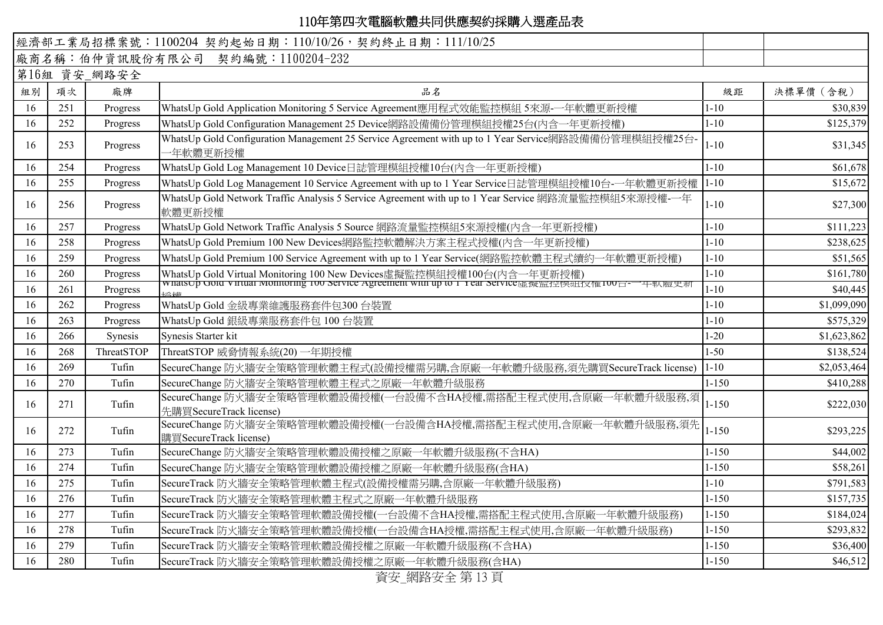| 經濟部工業局招標案號: 1100204 契約起始日期: 110/10/26, 契約終止日期: 111/10/25 |              |            |                                                                                                                                                                      |           |             |  |  |
|----------------------------------------------------------|--------------|------------|----------------------------------------------------------------------------------------------------------------------------------------------------------------------|-----------|-------------|--|--|
| 廠商名稱:伯仲資訊股份有限公司 契約編號:1100204-232                         |              |            |                                                                                                                                                                      |           |             |  |  |
|                                                          | 第16組 資安_網路安全 |            |                                                                                                                                                                      |           |             |  |  |
| 組別                                                       | 項次           | 廠牌         | 品名                                                                                                                                                                   | 級距        | 決標單價 (含稅)   |  |  |
| 16                                                       | 251          | Progress   | WhatsUp Gold Application Monitoring 5 Service Agreement應用程式效能監控模組 5來源-一年軟體更新授權                                                                                       | $1 - 10$  | \$30,839    |  |  |
| 16                                                       | 252          | Progress   | WhatsUp Gold Configuration Management 25 Device網路設備備份管理模組授權25台(內含一年更新授權)                                                                                             | $1 - 10$  | \$125,379   |  |  |
| 16                                                       | 253          | Progress   | WhatsUp Gold Configuration Management 25 Service Agreement with up to 1 Year Service網路設備備份管理模組授權25台-<br>一年軟體更新授權                                                     | $1 - 10$  | \$31,345    |  |  |
| 16                                                       | 254          | Progress   | WhatsUp Gold Log Management 10 Device日誌管理模組授權10台(內含一年更新授權)                                                                                                           | $1 - 10$  | \$61,678    |  |  |
| 16                                                       | 255          | Progress   | WhatsUp Gold Log Management 10 Service Agreement with up to 1 Year Service日誌管理模組授權10台-一年軟體更新授權                                                                       | $1 - 10$  | \$15,672    |  |  |
| 16                                                       | 256          | Progress   | WhatsUp Gold Network Traffic Analysis 5 Service Agreement with up to 1 Year Service 網路流量監控模組5來源授權-一年<br>軟體更新授權                                                       | $1 - 10$  | \$27,300    |  |  |
| 16                                                       | 257          | Progress   | WhatsUp Gold Network Traffic Analysis 5 Source 網路流量監控模組5來源授權(內含一年更新授權)                                                                                               | $1 - 10$  | \$111,223   |  |  |
| 16                                                       | 258          | Progress   | WhatsUp Gold Premium 100 New Devices網路監控軟體解決方案主程式授權(內含一年更新授權)                                                                                                        | $1 - 10$  | \$238,625   |  |  |
| 16                                                       | 259          | Progress   | WhatsUp Gold Premium 100 Service Agreement with up to 1 Year Service(網路監控軟體主程式續約<br>-年軟體更新授權)                                                                        | $1 - 10$  | \$51,565    |  |  |
| 16                                                       | 260          | Progress   | WhatsUp Gold Virtual Monitoring 100 New Devices虛擬監控模組授權100台(內含一年更新授權)<br>wnatsUp Gold Virtual Monitoring TOU Service Agreement with up to T Year Service虛擬監控保組技権IOU급 | $1 - 10$  | \$161,780   |  |  |
| 16                                                       | 261          | Progress   |                                                                                                                                                                      | $1 - 10$  | \$40,445    |  |  |
| 16                                                       | 262          | Progress   | WhatsUp Gold 金級專業維護服務套件包300台裝置                                                                                                                                       | $1 - 10$  | \$1,099,090 |  |  |
| 16                                                       | 263          | Progress   | WhatsUp Gold 銀級專業服務套件包 100 台裝置                                                                                                                                       | $1 - 10$  | \$575,329   |  |  |
| 16                                                       | 266          | Synesis    | Synesis Starter kit                                                                                                                                                  | $1 - 20$  | \$1,623,862 |  |  |
| 16                                                       | 268          | ThreatSTOP | ThreatSTOP 威脅情報系統(20) 一年期授權                                                                                                                                          | $1 - 50$  | \$138,524   |  |  |
| 16                                                       | 269          | Tufin      | SecureChange 防火牆安全策略管理軟體主程式(設備授權需另購,含原廠一年軟體升級服務,須先購買SecureTrack license)                                                                                             | $1 - 10$  | \$2,053,464 |  |  |
| 16                                                       | 270          | Tufin      | SecureChange 防火牆安全策略管理軟體主程式之原廠一年軟體升級服務                                                                                                                               | $1 - 150$ | \$410,288   |  |  |
| 16                                                       | 271          | Tufin      | SecureChange 防火牆安全策略管理軟體設備授權(一台設備不含HA授權,需搭配主程式使用,含原廠一年軟體升級服務,須<br>先購買SecureTrack license)                                                                            | $1 - 150$ | \$222,030   |  |  |
| 16                                                       | 272          | Tufin      | SecureChange 防火牆安全策略管理軟體設備授權(一台設備含HA授權,需搭配主程式使用,含原廠一年軟體升級服務,須先<br>購買SecureTrack license)                                                                             | $1 - 150$ | \$293,225   |  |  |
| 16                                                       | 273          | Tufin      | SecureChange 防火牆安全策略管理軟體設備授權之原廠一年軟體升級服務(不含HA)                                                                                                                        | $1 - 150$ | \$44,002    |  |  |
| 16                                                       | 274          | Tufin      | SecureChange 防火牆安全策略管理軟體設備授權之原廠一年軟體升級服務(含HA)                                                                                                                         | $1 - 150$ | \$58,261    |  |  |
| 16                                                       | 275          | Tufin      | SecureTrack 防火牆安全策略管理軟體主程式(設備授權需另購,含原廠一年軟體升級服務)                                                                                                                      | $1 - 10$  | \$791,583   |  |  |
| 16                                                       | 276          | Tufin      | SecureTrack 防火牆安全策略管理軟體主程式之原廠一年軟體升級服務                                                                                                                                | $1 - 150$ | \$157,735   |  |  |
| 16                                                       | 277          | Tufin      | SecureTrack 防火牆安全策略管理軟體設備授權(一台設備不含HA授權,需搭配主程式使用,含原廠一年軟體升級服務)                                                                                                         | $1 - 150$ | \$184,024   |  |  |
| 16                                                       | 278          | Tufin      | SecureTrack 防火牆安全策略管理軟體設備授權(一台設備含HA授權,需搭配主程式使用,含原廠一年軟體升級服務)                                                                                                          | $1 - 150$ | \$293,832   |  |  |
| 16                                                       | 279          | Tufin      | SecureTrack 防火牆安全策略管理軟體設備授權之原廠一年軟體升級服務(不含HA)                                                                                                                         | $1 - 150$ | \$36,400    |  |  |
| 16                                                       | 280          | Tufin      | SecureTrack 防火牆安全策略管理軟體設備授權之原廠一年軟體升級服務(含HA)                                                                                                                          | $1 - 150$ | \$46,512    |  |  |

資安\_網路安全 第 13 頁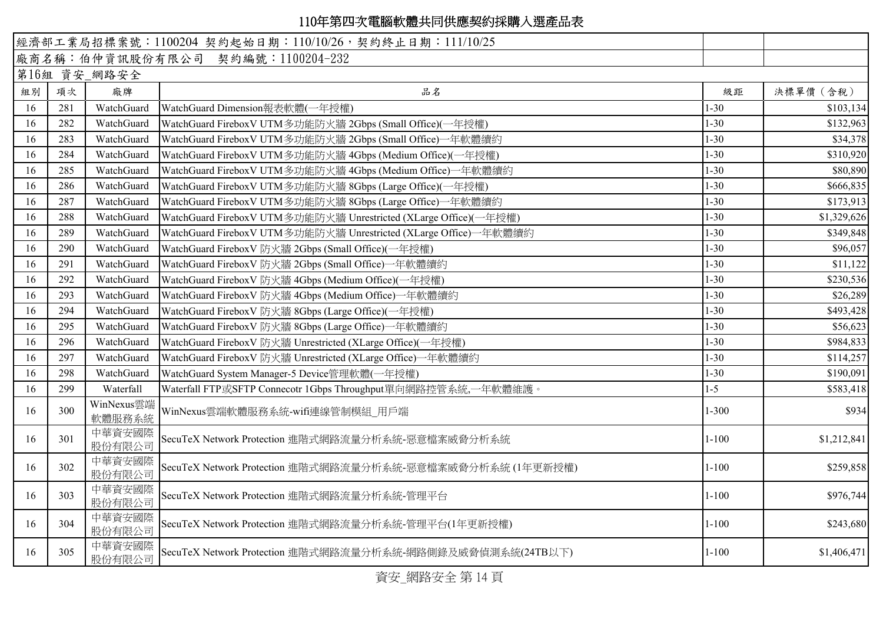|    |     |                      | 經濟部工業局招標案號: 1100204 契約起始日期: 110/10/26, 契約終止日期: 111/10/25         |           |             |
|----|-----|----------------------|------------------------------------------------------------------|-----------|-------------|
|    |     |                      | 廠商名稱:伯仲資訊股份有限公司 契約編號:1100204-232                                 |           |             |
|    |     | 第16組 資安_網路安全         |                                                                  |           |             |
| 組別 | 項次  | 廠牌                   | 品名                                                               | 級距        | 決標單價 (含稅)   |
| 16 | 281 | WatchGuard           | WatchGuard Dimension報表軟體(一年授權)                                   | $1 - 30$  | \$103,134   |
| 16 | 282 | WatchGuard           | WatchGuard FireboxV UTM多功能防火牆 2Gbps (Small Office)(一年授權)         | $1 - 30$  | \$132,963   |
| 16 | 283 | WatchGuard           | WatchGuard FireboxV UTM多功能防火牆 2Gbps (Small Office)一年軟體續約         | $1 - 30$  | \$34,378    |
| 16 | 284 | WatchGuard           | WatchGuard FireboxV UTM多功能防火牆 4Gbps (Medium Office)(一年授權)        | $1 - 30$  | \$310,920   |
| 16 | 285 | WatchGuard           | WatchGuard FireboxV UTM多功能防火牆 4Gbps (Medium Office)一年軟體續約        | $1 - 30$  | \$80,890    |
| 16 | 286 | WatchGuard           | WatchGuard FireboxV UTM多功能防火牆 8Gbps (Large Office)(一年授權)         | $1 - 30$  | \$666,835   |
| 16 | 287 | WatchGuard           | WatchGuard FireboxV UTM多功能防火牆 8Gbps (Large Office)一年軟體續約         | $1 - 30$  | \$173,913   |
| 16 | 288 | WatchGuard           | WatchGuard FireboxV UTM多功能防火牆 Unrestricted (XLarge Office)(一年授權) | $1 - 30$  | \$1,329,626 |
| 16 | 289 | WatchGuard           | WatchGuard FireboxV UTM多功能防火牆 Unrestricted (XLarge Office)一年軟體續約 | $1 - 30$  | \$349,848   |
| 16 | 290 | WatchGuard           | WatchGuard FireboxV 防火牆 2Gbps (Small Office)(一年授權)               | $1 - 30$  | \$96,057    |
| 16 | 291 | WatchGuard           | WatchGuard FireboxV 防火牆 2Gbps (Small Office)一年軟體續約               | $1 - 30$  | \$11,122    |
| 16 | 292 | WatchGuard           | WatchGuard FireboxV 防火牆 4Gbps (Medium Office)(一年授權)              | $1 - 30$  | \$230,536   |
| 16 | 293 | WatchGuard           | WatchGuard FireboxV 防火牆 4Gbps (Medium Office)一年軟體續約              | $1 - 30$  | \$26,289    |
| 16 | 294 | WatchGuard           | WatchGuard FireboxV 防火牆 8Gbps (Large Office)(一年授權)               | $1 - 30$  | \$493,428   |
| 16 | 295 | WatchGuard           | WatchGuard FireboxV 防火牆 8Gbps (Large Office)一年軟體續約               | $1 - 30$  | \$56,623    |
| 16 | 296 | WatchGuard           | WatchGuard FireboxV 防火牆 Unrestricted (XLarge Office)(一年授權)       | $1 - 30$  | \$984,833   |
| 16 | 297 | WatchGuard           | WatchGuard FireboxV 防火牆 Unrestricted (XLarge Office)一年軟體續約       | $1 - 30$  | \$114,257   |
| 16 | 298 | WatchGuard           | WatchGuard System Manager-5 Device管理軟體(一年授權)                     | $1 - 30$  | \$190,091   |
| 16 | 299 | Waterfall            | Waterfall FTP或SFTP Connecotr 1Gbps Throughput單向網路控管系統,一年軟體維護。    | $1 - 5$   | \$583,418   |
| 16 | 300 | WinNexus雲端<br>軟體服務系統 | WinNexus雲端軟體服務系統-wifi連線管制模組 用戶端                                  | $1 - 300$ | \$934       |
| 16 | 301 | 中華資安國際<br>股份有限公司     | SecuTeX Network Protection 進階式網路流量分析系統-惡意檔案威脅分析系統                | $1 - 100$ | \$1,212,841 |
| 16 | 302 | 中華資安國際<br>股份有限公司     | SecuTeX Network Protection 進階式網路流量分析系統-惡意檔案威脅分析系統 (1年更新授權)       | $1 - 100$ | \$259,858   |
| 16 | 303 | 中華資安國際<br>股份有限公司     | SecuTeX Network Protection 進階式網路流量分析系統-管理平台                      | $1 - 100$ | \$976,744   |
| 16 | 304 | 中華資安國際<br>股份有限公司     | SecuTeX Network Protection 進階式網路流量分析系統-管理平台(1年更新授權)              | $1 - 100$ | \$243,680   |
| 16 | 305 | 中華資安國際<br>股份有限公司     | SecuTeX Network Protection 進階式網路流量分析系統-網路側錄及威脅偵測系統(24TB以下)       | $1 - 100$ | \$1,406,471 |
|    |     |                      |                                                                  |           |             |

資安\_網路安全 第 14 頁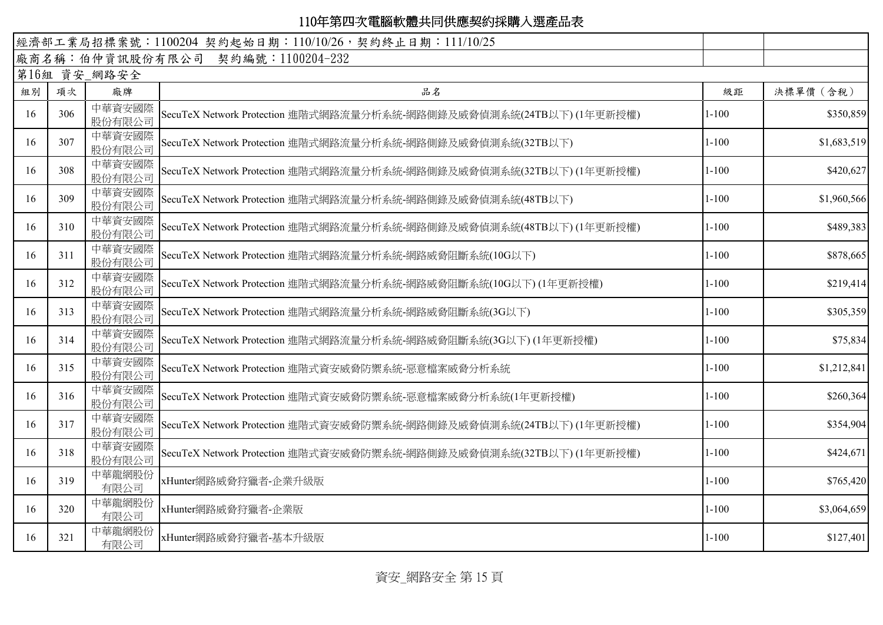| 經濟部工業局招標案號: 1100204 契約起始日期: 110/10/26, 契約終止日期: 111/10/25 |     |                  |                                                                     |           |             |  |
|----------------------------------------------------------|-----|------------------|---------------------------------------------------------------------|-----------|-------------|--|
| 廠商名稱:伯仲資訊股份有限公司 契約編號:1100204-232                         |     |                  |                                                                     |           |             |  |
| 第16組 資安_網路安全                                             |     |                  |                                                                     |           |             |  |
| 組別                                                       | 項次  | 廠牌               | 品名                                                                  | 級距        | 決標單價 (含稅)   |  |
| 16                                                       | 306 | 中華資安國際<br>股份有限公司 | SecuTeX Network Protection 進階式網路流量分析系統-網路側錄及威脅偵測系統(24TB以下) (1年更新授權) | $1 - 100$ | \$350,859   |  |
| 16                                                       | 307 | 中華資安國際<br>股份有限公司 | SecuTeX Network Protection 進階式網路流量分析系統-網路側錄及威脅偵測系統(32TB以下)          | $1 - 100$ | \$1,683,519 |  |
| 16                                                       | 308 | 中華資安國際<br>股份有限公司 | SecuTeX Network Protection 進階式網路流量分析系統-網路側錄及威脅偵測系統(32TB以下) (1年更新授權) | $1 - 100$ | \$420,627   |  |
| 16                                                       | 309 | 中華資安國際<br>股份有限公司 | SecuTeX Network Protection 進階式網路流量分析系統-網路側錄及威脅偵測系統(48TB以下)          | $1 - 100$ | \$1,960,566 |  |
| 16                                                       | 310 | 中華資安國際<br>股份有限公司 | SecuTeX Network Protection 進階式網路流量分析系統-網路側錄及威脅偵測系統(48TB以下)(1年更新授權)  | $1 - 100$ | \$489,383   |  |
| 16                                                       | 311 | 中華資安國際<br>股份有限公司 | SecuTeX Network Protection 進階式網路流量分析系統-網路威脅阻斷系統(10G以下)              | $1 - 100$ | \$878,665   |  |
| 16                                                       | 312 | 中華資安國際<br>股份有限公司 | SecuTeX Network Protection 進階式網路流量分析系統-網路威脅阻斷系統(10G以下)(1年更新授權)      | $1 - 100$ | \$219,414   |  |
| 16                                                       | 313 | 中華資安國際<br>股份有限公司 | SecuTeX Network Protection 進階式網路流量分析系統-網路威脅阻斷系統(3G以下)               | $1 - 100$ | \$305,359   |  |
| 16                                                       | 314 | 中華資安國際<br>股份有限公司 | SecuTeX Network Protection 進階式網路流量分析系統-網路威脅阻斷系統(3G以下)(1年更新授權)       | $1 - 100$ | \$75,834    |  |
| 16                                                       | 315 | 中華資安國際<br>股份有限公司 | SecuTeX Network Protection 進階式資安威脅防禦系統-惡意檔案威脅分析系統                   | $1 - 100$ | \$1,212,841 |  |
| 16                                                       | 316 | 中華資安國際<br>股份有限公司 | SecuTeX Network Protection 進階式資安威脅防禦系統-惡意檔案威脅分析系統(1年更新授權)           | $1 - 100$ | \$260,364   |  |
| 16                                                       | 317 | 中華資安國際<br>股份有限公司 | SecuTeX Network Protection 進階式資安威脅防禦系統-網路側錄及威脅偵測系統(24TB以下)(1年更新授權)  | $1 - 100$ | \$354,904   |  |
| 16                                                       | 318 | 中華資安國際<br>股份有限公司 | SecuTeX Network Protection 進階式資安威脅防禦系統-網路側錄及威脅偵測系統(32TB以下) (1年更新授權) | $1 - 100$ | \$424,671   |  |
| 16                                                       | 319 | 中華龍網股份<br>有限公司   | xHunter網路威脅狩獵者-企業升級版                                                | $1 - 100$ | \$765,420   |  |
| 16                                                       | 320 | 中華龍網股份<br>有限公司   | xHunter網路威脅狩獵者-企業版                                                  | $1 - 100$ | \$3,064,659 |  |
| 16                                                       | 321 | 中華龍網股份<br>有限公司   | xHunter網路威脅狩獵者-基本升級版                                                | $1 - 100$ | \$127,401   |  |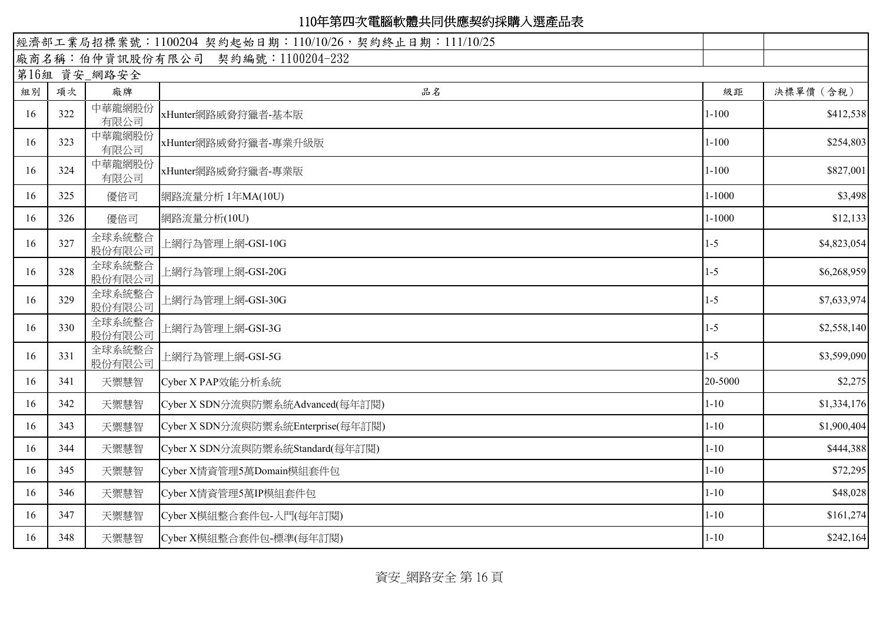|                                  |     |                  | 經濟部工業局招標案號: 1100204 契約起始日期: 110/10/26, 契約終止日期: 111/10/25 |            |             |  |  |
|----------------------------------|-----|------------------|----------------------------------------------------------|------------|-------------|--|--|
| 廠商名稱:伯仲資訊股份有限公司 契約編號:1100204-232 |     |                  |                                                          |            |             |  |  |
| 第16組 資安_網路安全                     |     |                  |                                                          |            |             |  |  |
| 組別                               | 項次  | 廠牌               | 品名                                                       | 級距         | 決標單價 (含稅)   |  |  |
| 16                               | 322 | 中華龍網股份<br>有限公司   | xHunter網路威脅狩獵者-基本版                                       | $1 - 100$  | \$412,538   |  |  |
| 16                               | 323 | 中華龍網股份<br>有限公司   | xHunter網路威脅狩獵者-專業升級版                                     | $1 - 100$  | \$254,803   |  |  |
| 16                               | 324 | 中華龍網股份<br>有限公司   | xHunter網路威脅狩獵者-專業版                                       | $1 - 100$  | \$827,001   |  |  |
| 16                               | 325 | 優倍司              | 網路流量分析 1年MA(10U)                                         | $1 - 1000$ | \$3,498     |  |  |
| 16                               | 326 | 優倍司              | 網路流量分析(10U)                                              | $1 - 1000$ | \$12,133    |  |  |
| 16                               | 327 | 全球系統整合<br>股份有限公司 | 上網行為管理上網-GSI-10G                                         | $1 - 5$    | \$4,823,054 |  |  |
| 16                               | 328 | 全球系統整合<br>股份有限公司 | 上網行為管理上網-GSI-20G                                         | $1 - 5$    | \$6,268,959 |  |  |
| 16                               | 329 | 全球系統整合<br>股份有限公司 | 上網行為管理上網-GSI-30G                                         | $1 - 5$    | \$7,633,974 |  |  |
| 16                               | 330 | 全球系統整合<br>股份有限公司 | 上網行為管理上網-GSI-3G                                          | $1 - 5$    | \$2,558,140 |  |  |
| 16                               | 331 | 全球系統整合<br>股份有限公司 | 上網行為管理上網-GSI-5G                                          | $1 - 5$    | \$3,599,090 |  |  |
| 16                               | 341 | 天禦慧智             | Cyber X PAP效能分析系統                                        | 20-5000    | \$2,275     |  |  |
| 16                               | 342 | 天禦慧智             | Cyber X SDN分流與防禦系統Advanced(每年訂閱)                         | $1 - 10$   | \$1,334,176 |  |  |
| 16                               | 343 | 天禦慧智             | Cyber X SDN分流與防禦系統Enterprise(每年訂閱)                       | $1 - 10$   | \$1,900,404 |  |  |
| 16                               | 344 | 天禦慧智             | Cyber X SDN分流與防禦系統Standard(每年訂閱)                         | $1 - 10$   | \$444,388   |  |  |
| 16                               | 345 | 天禦慧智             | Cyber X情資管理5萬Domain模組套件包                                 | $1 - 10$   | \$72,295    |  |  |
| 16                               | 346 | 天禦慧智             | Cyber X情資管理5萬IP模組套件包                                     | $1 - 10$   | \$48,028    |  |  |
| 16                               | 347 | 天禦慧智             | Cyber X模組整合套件包-入門(每年訂閱)                                  | $1 - 10$   | \$161,274   |  |  |
| 16                               | 348 | 天禦慧智             | Cyber X模組整合套件包-標準(每年訂閱)                                  | $1 - 10$   | \$242,164   |  |  |